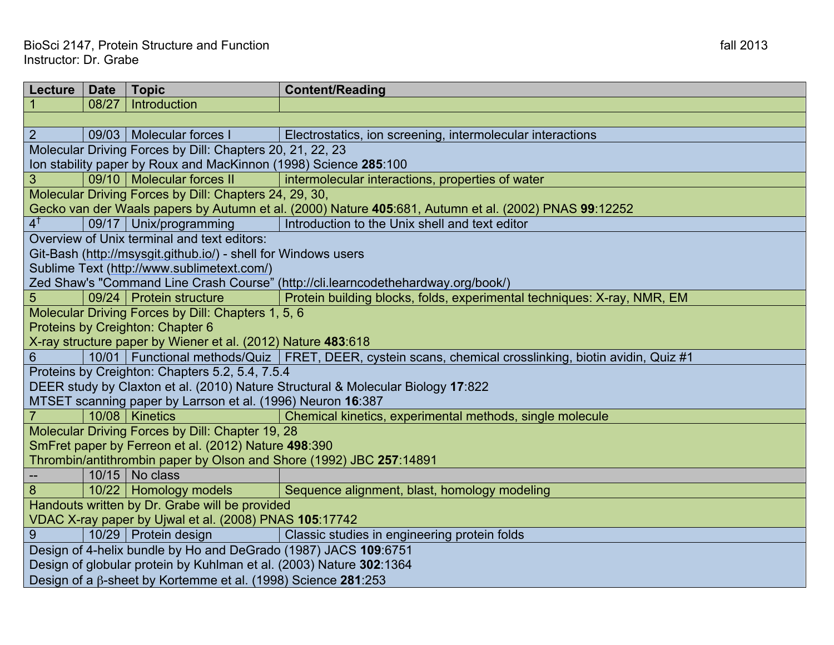| Lecture                                                                                               | <b>Date</b> | <b>Topic</b>                                       | <b>Content/Reading</b>                                                                                     |  |  |
|-------------------------------------------------------------------------------------------------------|-------------|----------------------------------------------------|------------------------------------------------------------------------------------------------------------|--|--|
|                                                                                                       | 08/27       | Introduction                                       |                                                                                                            |  |  |
|                                                                                                       |             |                                                    |                                                                                                            |  |  |
| 2                                                                                                     |             | 09/03   Molecular forces I                         | Electrostatics, ion screening, intermolecular interactions                                                 |  |  |
| Molecular Driving Forces by Dill: Chapters 20, 21, 22, 23                                             |             |                                                    |                                                                                                            |  |  |
| Ion stability paper by Roux and MacKinnon (1998) Science 285:100                                      |             |                                                    |                                                                                                            |  |  |
| 3                                                                                                     |             | 09/10   Molecular forces II                        | intermolecular interactions, properties of water                                                           |  |  |
| Molecular Driving Forces by Dill: Chapters 24, 29, 30,                                                |             |                                                    |                                                                                                            |  |  |
| Gecko van der Waals papers by Autumn et al. (2000) Nature 405:681, Autumn et al. (2002) PNAS 99:12252 |             |                                                    |                                                                                                            |  |  |
| $4^{\dagger}$                                                                                         |             | 09/17   Unix/programming                           | Introduction to the Unix shell and text editor                                                             |  |  |
| Overview of Unix terminal and text editors:                                                           |             |                                                    |                                                                                                            |  |  |
| Git-Bash (http://msysgit.github.io/) - shell for Windows users                                        |             |                                                    |                                                                                                            |  |  |
| Sublime Text (http://www.sublimetext.com/)                                                            |             |                                                    |                                                                                                            |  |  |
|                                                                                                       |             |                                                    | Zed Shaw's "Command Line Crash Course" (http://cli.learncodethehardway.org/book/)                          |  |  |
| 5                                                                                                     |             | 09/24   Protein structure                          | Protein building blocks, folds, experimental techniques: X-ray, NMR, EM                                    |  |  |
|                                                                                                       |             | Molecular Driving Forces by Dill: Chapters 1, 5, 6 |                                                                                                            |  |  |
|                                                                                                       |             | Proteins by Creighton: Chapter 6                   |                                                                                                            |  |  |
| X-ray structure paper by Wiener et al. (2012) Nature 483:618                                          |             |                                                    |                                                                                                            |  |  |
| 6                                                                                                     |             |                                                    | 10/01   Functional methods/Quiz   FRET, DEER, cystein scans, chemical crosslinking, biotin avidin, Quiz #1 |  |  |
| Proteins by Creighton: Chapters 5.2, 5.4, 7.5.4                                                       |             |                                                    |                                                                                                            |  |  |
| DEER study by Claxton et al. (2010) Nature Structural & Molecular Biology 17:822                      |             |                                                    |                                                                                                            |  |  |
| MTSET scanning paper by Larrson et al. (1996) Neuron 16:387                                           |             |                                                    |                                                                                                            |  |  |
| $\overline{7}$                                                                                        |             | 10/08   Kinetics                                   | Chemical kinetics, experimental methods, single molecule                                                   |  |  |
| Molecular Driving Forces by Dill: Chapter 19, 28                                                      |             |                                                    |                                                                                                            |  |  |
| SmFret paper by Ferreon et al. (2012) Nature 498:390                                                  |             |                                                    |                                                                                                            |  |  |
| Thrombin/antithrombin paper by Olson and Shore (1992) JBC 257:14891                                   |             |                                                    |                                                                                                            |  |  |
|                                                                                                       |             | $10/15$ No class                                   |                                                                                                            |  |  |
| 8                                                                                                     |             | 10/22 Homology models                              | Sequence alignment, blast, homology modeling                                                               |  |  |
| Handouts written by Dr. Grabe will be provided                                                        |             |                                                    |                                                                                                            |  |  |
| VDAC X-ray paper by Ujwal et al. (2008) PNAS 105:17742                                                |             |                                                    |                                                                                                            |  |  |
| 9                                                                                                     |             | 10/29   Protein design                             | Classic studies in engineering protein folds                                                               |  |  |
| Design of 4-helix bundle by Ho and DeGrado (1987) JACS 109:6751                                       |             |                                                    |                                                                                                            |  |  |
| Design of globular protein by Kuhlman et al. (2003) Nature 302:1364                                   |             |                                                    |                                                                                                            |  |  |
| Design of a β-sheet by Kortemme et al. (1998) Science 281:253                                         |             |                                                    |                                                                                                            |  |  |